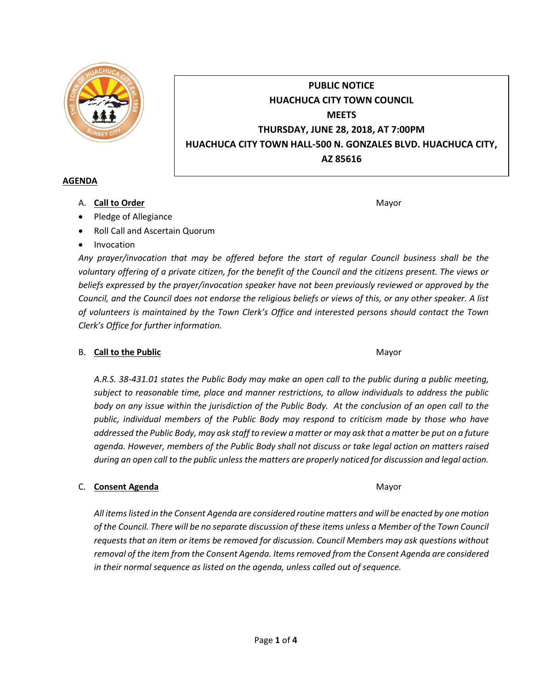

# **PUBLIC NOTICE HUACHUCA CITY TOWN COUNCIL MEETS THURSDAY, JUNE 28, 2018, AT 7:00PM HUACHUCA CITY TOWN HALL-500 N. GONZALES BLVD. HUACHUCA CITY, AZ 85616**

#### **AGENDA**

A. **Call to Order** Mayor **Mayor** Mayor **Mayor** Mayor **Mayor** 

- Pledge of Allegiance
- Roll Call and Ascertain Quorum
- Invocation

*Any prayer/invocation that may be offered before the start of regular Council business shall be the voluntary offering of a private citizen, for the benefit of the Council and the citizens present. The views or beliefs expressed by the prayer/invocation speaker have not been previously reviewed or approved by the Council, and the Council does not endorse the religious beliefs or views of this, or any other speaker. A list of volunteers is maintained by the Town Clerk's Office and interested persons should contact the Town Clerk's Office for further information.*

## B. **Call to the Public** Mayor **Mayor** Mayor **Mayor** Mayor

*A.R.S. 38-431.01 states the Public Body may make an open call to the public during a public meeting, subject to reasonable time, place and manner restrictions, to allow individuals to address the public body on any issue within the jurisdiction of the Public Body. At the conclusion of an open call to the public, individual members of the Public Body may respond to criticism made by those who have addressed the Public Body, may ask staff to review a matter or may ask that a matter be put on a future agenda. However, members of the Public Body shall not discuss or take legal action on matters raised during an open call to the public unless the matters are properly noticed for discussion and legal action.*

## C. **Consent Agenda** Mayor **C. Consent Agenda** Mayor **Mayor**

*All items listed in the Consent Agenda are considered routine matters and will be enacted by one motion of the Council. There will be no separate discussion of these items unless a Member of the Town Council requests that an item or items be removed for discussion. Council Members may ask questions without removal of the item from the Consent Agenda. Items removed from the Consent Agenda are considered in their normal sequence as listed on the agenda, unless called out of sequence.*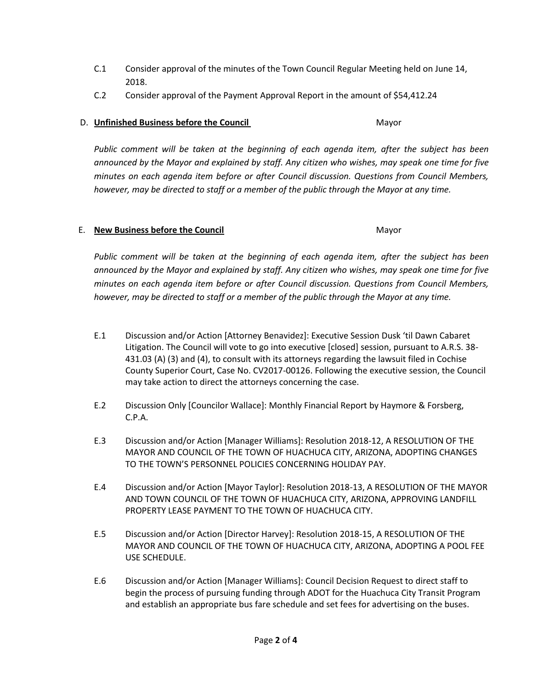- C.1 Consider approval of the minutes of the Town Council Regular Meeting held on June 14, 2018.
- C.2 Consider approval of the Payment Approval Report in the amount of \$54,412.24

# D. **Unfinished Business before the Council** Mayor

*Public comment will be taken at the beginning of each agenda item, after the subject has been announced by the Mayor and explained by staff. Any citizen who wishes, may speak one time for five minutes on each agenda item before or after Council discussion. Questions from Council Members, however, may be directed to staff or a member of the public through the Mayor at any time.*

## E. **New Business before the Council** Mayor

*Public comment will be taken at the beginning of each agenda item, after the subject has been announced by the Mayor and explained by staff. Any citizen who wishes, may speak one time for five minutes on each agenda item before or after Council discussion. Questions from Council Members, however, may be directed to staff or a member of the public through the Mayor at any time.*

- E.1 Discussion and/or Action [Attorney Benavidez]: Executive Session Dusk 'til Dawn Cabaret Litigation. The Council will vote to go into executive [closed] session, pursuant to A.R.S. 38- 431.03 (A) (3) and (4), to consult with its attorneys regarding the lawsuit filed in Cochise County Superior Court, Case No. CV2017-00126. Following the executive session, the Council may take action to direct the attorneys concerning the case.
- E.2 Discussion Only [Councilor Wallace]: Monthly Financial Report by Haymore & Forsberg, C.P.A.
- E.3 Discussion and/or Action [Manager Williams]: Resolution 2018-12, A RESOLUTION OF THE MAYOR AND COUNCIL OF THE TOWN OF HUACHUCA CITY, ARIZONA, ADOPTING CHANGES TO THE TOWN'S PERSONNEL POLICIES CONCERNING HOLIDAY PAY.
- E.4 Discussion and/or Action [Mayor Taylor]: Resolution 2018-13, A RESOLUTION OF THE MAYOR AND TOWN COUNCIL OF THE TOWN OF HUACHUCA CITY, ARIZONA, APPROVING LANDFILL PROPERTY LEASE PAYMENT TO THE TOWN OF HUACHUCA CITY.
- E.5 Discussion and/or Action [Director Harvey]: Resolution 2018-15, A RESOLUTION OF THE MAYOR AND COUNCIL OF THE TOWN OF HUACHUCA CITY, ARIZONA, ADOPTING A POOL FEE USE SCHEDULE.
- E.6 Discussion and/or Action [Manager Williams]: Council Decision Request to direct staff to begin the process of pursuing funding through ADOT for the Huachuca City Transit Program and establish an appropriate bus fare schedule and set fees for advertising on the buses.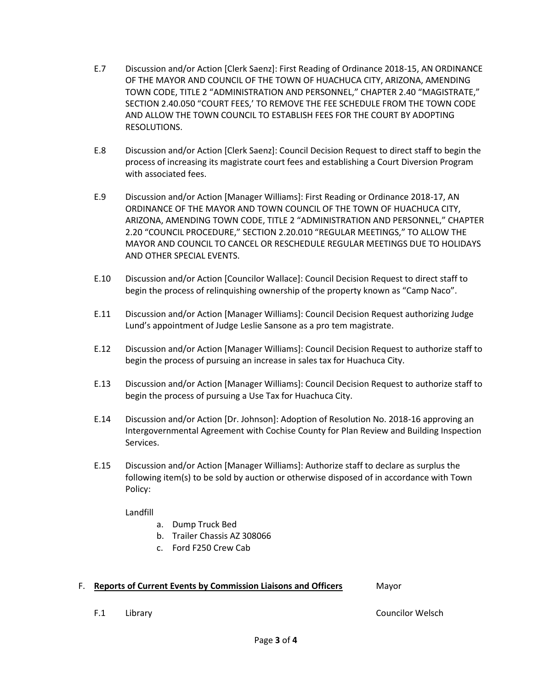- E.7 Discussion and/or Action [Clerk Saenz]: First Reading of Ordinance 2018-15, AN ORDINANCE OF THE MAYOR AND COUNCIL OF THE TOWN OF HUACHUCA CITY, ARIZONA, AMENDING TOWN CODE, TITLE 2 "ADMINISTRATION AND PERSONNEL," CHAPTER 2.40 "MAGISTRATE," SECTION 2.40.050 "COURT FEES,' TO REMOVE THE FEE SCHEDULE FROM THE TOWN CODE AND ALLOW THE TOWN COUNCIL TO ESTABLISH FEES FOR THE COURT BY ADOPTING RESOLUTIONS.
- E.8 Discussion and/or Action [Clerk Saenz]: Council Decision Request to direct staff to begin the process of increasing its magistrate court fees and establishing a Court Diversion Program with associated fees.
- E.9 Discussion and/or Action [Manager Williams]: First Reading or Ordinance 2018-17, AN ORDINANCE OF THE MAYOR AND TOWN COUNCIL OF THE TOWN OF HUACHUCA CITY, ARIZONA, AMENDING TOWN CODE, TITLE 2 "ADMINISTRATION AND PERSONNEL," CHAPTER 2.20 "COUNCIL PROCEDURE," SECTION 2.20.010 "REGULAR MEETINGS," TO ALLOW THE MAYOR AND COUNCIL TO CANCEL OR RESCHEDULE REGULAR MEETINGS DUE TO HOLIDAYS AND OTHER SPECIAL EVENTS.
- E.10 Discussion and/or Action [Councilor Wallace]: Council Decision Request to direct staff to begin the process of relinquishing ownership of the property known as "Camp Naco".
- E.11 Discussion and/or Action [Manager Williams]: Council Decision Request authorizing Judge Lund's appointment of Judge Leslie Sansone as a pro tem magistrate.
- E.12 Discussion and/or Action [Manager Williams]: Council Decision Request to authorize staff to begin the process of pursuing an increase in sales tax for Huachuca City.
- E.13 Discussion and/or Action [Manager Williams]: Council Decision Request to authorize staff to begin the process of pursuing a Use Tax for Huachuca City.
- E.14 Discussion and/or Action [Dr. Johnson]: Adoption of Resolution No. 2018-16 approving an Intergovernmental Agreement with Cochise County for Plan Review and Building Inspection Services.
- E.15 Discussion and/or Action [Manager Williams]: Authorize staff to declare as surplus the following item(s) to be sold by auction or otherwise disposed of in accordance with Town Policy:

Landfill

- a. Dump Truck Bed
- b. Trailer Chassis AZ 308066
- c. Ford F250 Crew Cab

#### F. **Reports of Current Events by Commission Liaisons and Officers** Mayor

F.1 Library Councilor Welsch